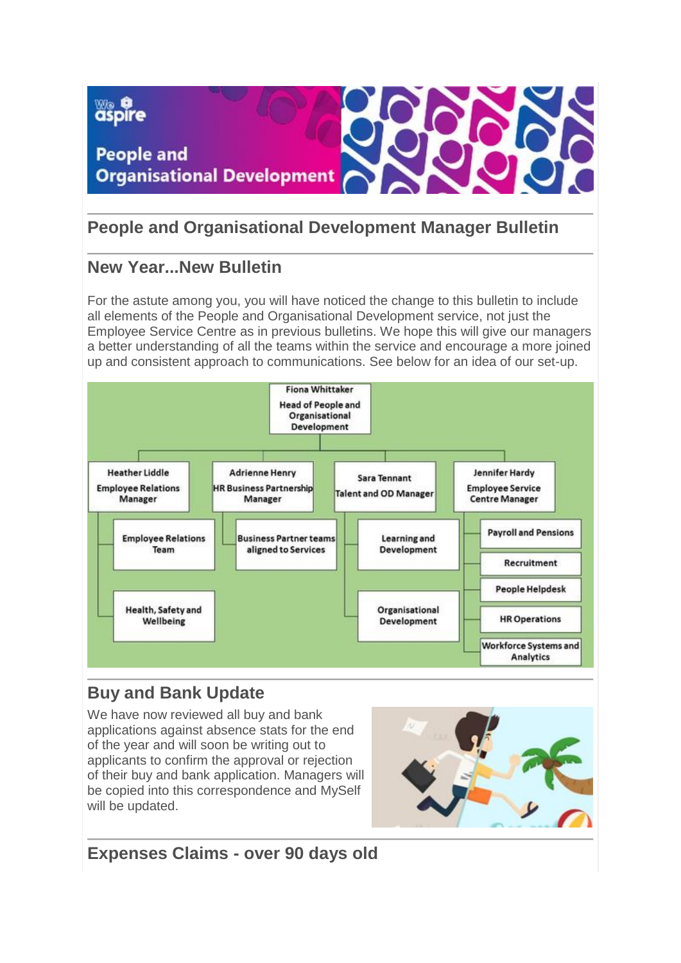

# **People and Organisational Development Manager Bulletin**

### **New Year...New Bulletin**

For the astute among you, you will have noticed the change to this bulletin to include all elements of the People and Organisational Development service, not just the Employee Service Centre as in previous bulletins. We hope this will give our managers a better understanding of all the teams within the service and encourage a more joined up and consistent approach to communications. See below for an idea of our set-up.



# **Buy and Bank Update**

We have now reviewed all buy and bank applications against absence stats for the end of the year and will soon be writing out to applicants to confirm the approval or rejection of their buy and bank application. Managers will be copied into this correspondence and MySelf will be updated.



**Expenses Claims - over 90 days old**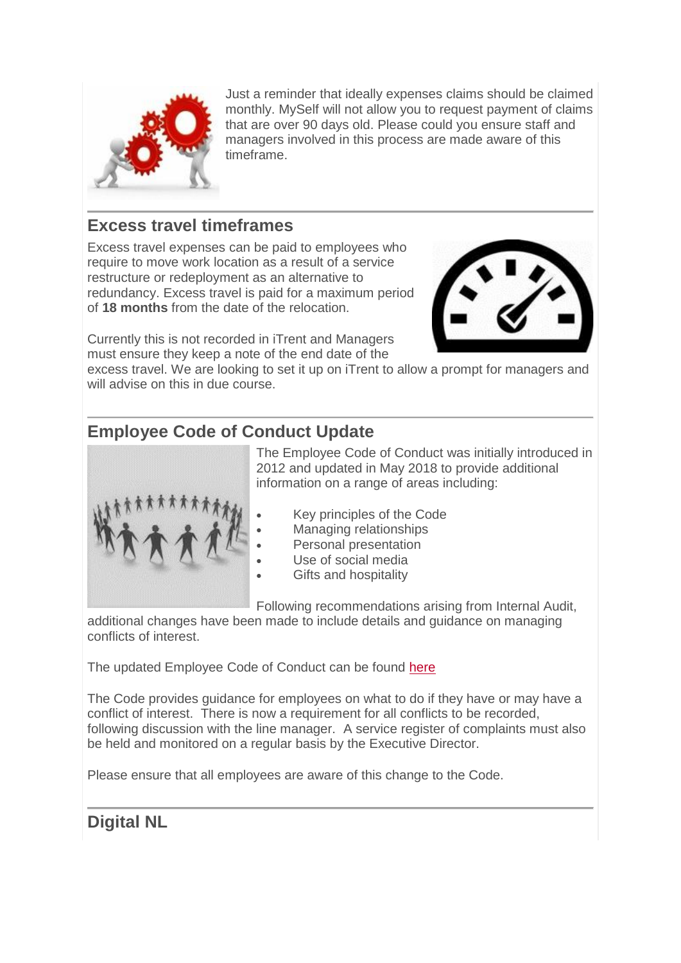

Just a reminder that ideally expenses claims should be claimed monthly. MySelf will not allow you to request payment of claims that are over 90 days old. Please could you ensure staff and managers involved in this process are made aware of this timeframe.

### **Excess travel timeframes**

Excess travel expenses can be paid to employees who require to move work location as a result of a service restructure or redeployment as an alternative to redundancy. Excess travel is paid for a maximum period of **18 months** from the date of the relocation.



Currently this is not recorded in iTrent and Managers must ensure they keep a note of the end date of the

excess travel. We are looking to set it up on iTrent to allow a prompt for managers and will advise on this in due course.

## **Employee Code of Conduct Update**



The Employee Code of Conduct was initially introduced in 2012 and updated in May 2018 to provide additional information on a range of areas including:

- Key principles of the Code
- Managing relationships
- Personal presentation
- Use of social media
- Gifts and hospitality

Following recommendations arising from Internal Audit,

additional changes have been made to include details and guidance on managing conflicts of interest.

The updated Employee Code of Conduct can be found [here](http://connect/index.aspx?articleid=4583)

The Code provides guidance for employees on what to do if they have or may have a conflict of interest. There is now a requirement for all conflicts to be recorded, following discussion with the line manager. A service register of complaints must also be held and monitored on a regular basis by the Executive Director.

Please ensure that all employees are aware of this change to the Code.

# **Digital NL**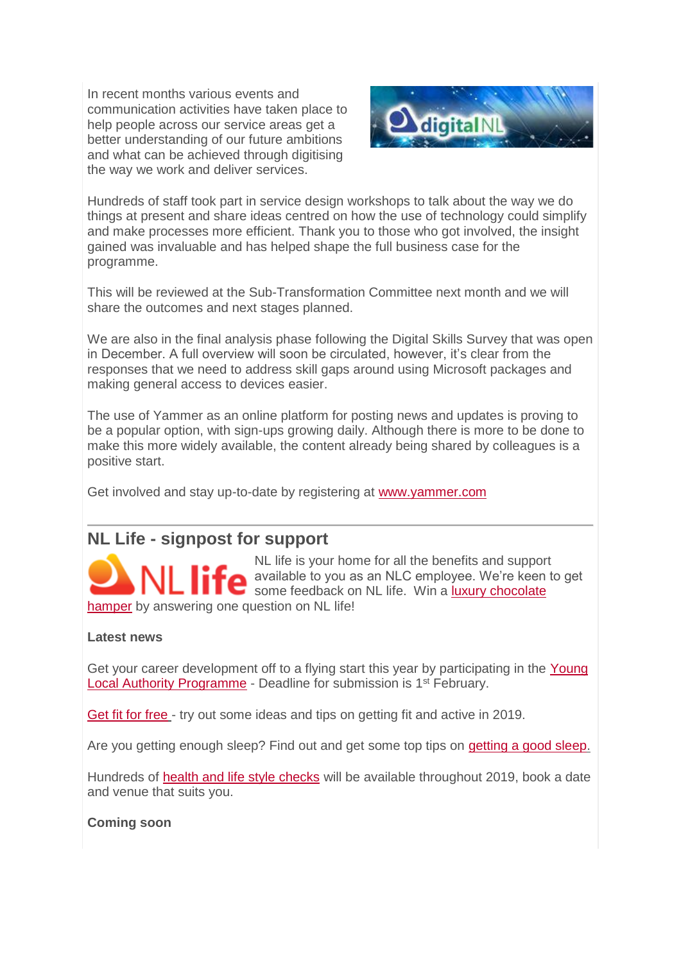In recent months various events and communication activities have taken place to help people across our service areas get a better understanding of our future ambitions and what can be achieved through digitising the way we work and deliver services.



Hundreds of staff took part in service design workshops to talk about the way we do things at present and share ideas centred on how the use of technology could simplify and make processes more efficient. Thank you to those who got involved, the insight gained was invaluable and has helped shape the full business case for the programme.

This will be reviewed at the Sub-Transformation Committee next month and we will share the outcomes and next stages planned.

We are also in the final analysis phase following the Digital Skills Survey that was open in December. A full overview will soon be circulated, however, it's clear from the responses that we need to address skill gaps around using Microsoft packages and making general access to devices easier.

The use of Yammer as an online platform for posting news and updates is proving to be a popular option, with sign-ups growing daily. Although there is more to be done to make this more widely available, the content already being shared by colleagues is a positive start.

Get involved and stay up-to-date by registering at [www.yammer.com](http://www.yammer.com/)

### **NL Life - signpost for support**

NL life is your home for all the benefits and support available to you as an NLC employee. We're keen to get some feedback on NL life. Win a luxury chocolate [hamper](https://www.surveymonkey.co.uk/r/G5G6VWB) by answering one question on NL life!

#### **Latest news**

Get your career development off to a flying start this year by participating in the Young [Local Authority Programme](https://nlclearningacademy.co.uk/young-local-authority-programme/) - Deadline for submission is 1<sup>st</sup> February.

[Get fit for free](https://www.nllife.co.uk/workwellnl/get-fit-and-active-for-free/) - try out some ideas and tips on getting fit and active in 2019.

Are you getting enough sleep? Find out and get some top tips on [getting a good sleep.](https://www.nllife.co.uk/workwellnl/importanceofsleep/)

Hundreds of [health and life style checks](https://www.nllife.co.uk/workwellnl/health-and-lifestyle-checks/) will be available throughout 2019, book a date and venue that suits you.

**Coming soon**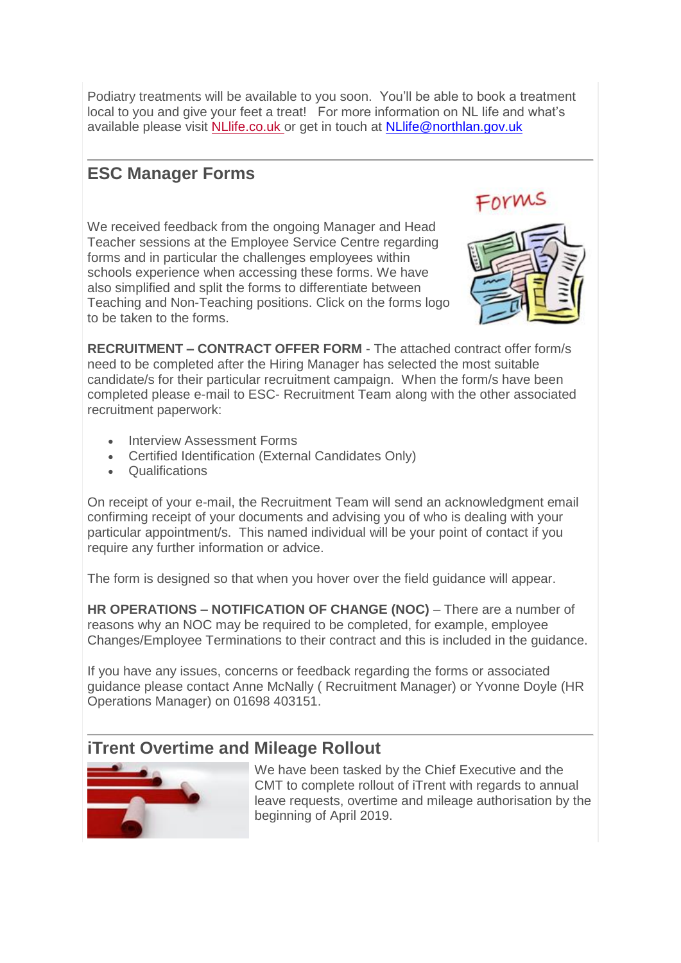Podiatry treatments will be available to you soon. You'll be able to book a treatment local to you and give your feet a treat! For more information on NL life and what's available please visit [NLlife.co.uk](http://www.nllife.co.uk/) or get in touch at [NLlife@northlan.gov.uk](mailto:NLlife@northlan.gov.uk)

# **ESC Manager Forms**

We received feedback from the ongoing Manager and Head Teacher sessions at the Employee Service Centre regarding forms and in particular the challenges employees within schools experience when accessing these forms. We have also simplified and split the forms to differentiate between Teaching and Non-Teaching positions. Click on the forms logo to be taken to the forms.



**RECRUITMENT – CONTRACT OFFER FORM** - The attached contract offer form/s need to be completed after the Hiring Manager has selected the most suitable candidate/s for their particular recruitment campaign. When the form/s have been completed please e-mail to ESC- Recruitment Team along with the other associated recruitment paperwork:

- **Interview Assessment Forms**
- Certified Identification (External Candidates Only)
- Qualifications

On receipt of your e-mail, the Recruitment Team will send an acknowledgment email confirming receipt of your documents and advising you of who is dealing with your particular appointment/s. This named individual will be your point of contact if you require any further information or advice.

The form is designed so that when you hover over the field guidance will appear.

**HR OPERATIONS – NOTIFICATION OF CHANGE (NOC)** – There are a number of reasons why an NOC may be required to be completed, for example, employee Changes/Employee Terminations to their contract and this is included in the guidance.

If you have any issues, concerns or feedback regarding the forms or associated guidance please contact Anne McNally ( Recruitment Manager) or Yvonne Doyle (HR Operations Manager) on 01698 403151.

## **iTrent Overtime and Mileage Rollout**



We have been tasked by the Chief Executive and the CMT to complete rollout of iTrent with regards to annual leave requests, overtime and mileage authorisation by the beginning of April 2019.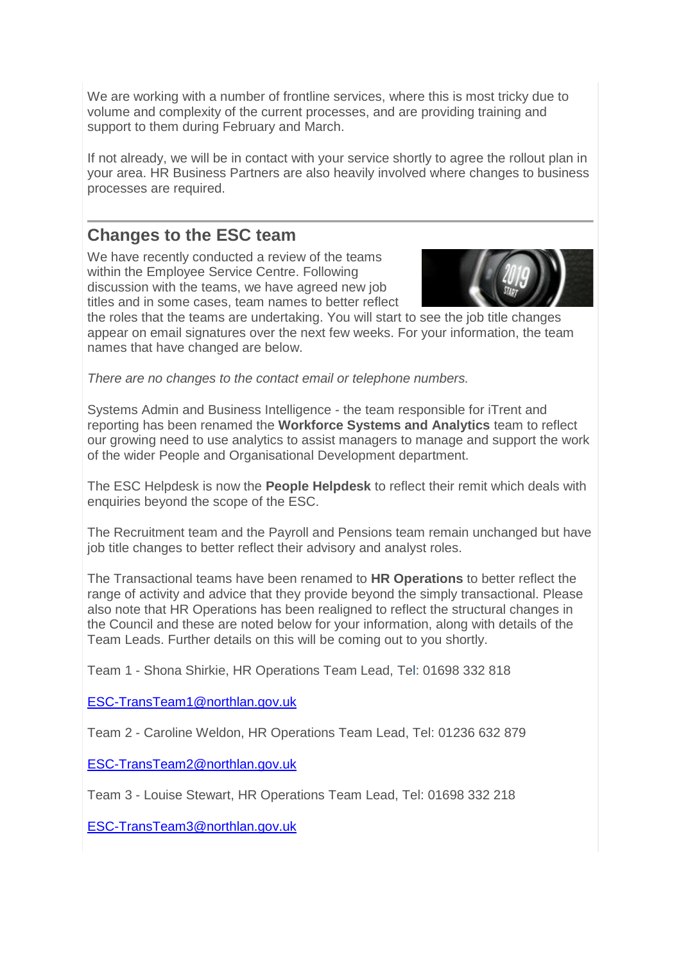We are working with a number of frontline services, where this is most tricky due to volume and complexity of the current processes, and are providing training and support to them during February and March.

If not already, we will be in contact with your service shortly to agree the rollout plan in your area. HR Business Partners are also heavily involved where changes to business processes are required.

### **Changes to the ESC team**

We have recently conducted a review of the teams within the Employee Service Centre. Following discussion with the teams, we have agreed new job titles and in some cases, team names to better reflect



the roles that the teams are undertaking. You will start to see the job title changes appear on email signatures over the next few weeks. For your information, the team names that have changed are below.

*There are no changes to the contact email or telephone numbers.*

Systems Admin and Business Intelligence - the team responsible for iTrent and reporting has been renamed the **Workforce Systems and Analytics** team to reflect our growing need to use analytics to assist managers to manage and support the work of the wider People and Organisational Development department.

The ESC Helpdesk is now the **People Helpdesk** to reflect their remit which deals with enquiries beyond the scope of the ESC.

The Recruitment team and the Payroll and Pensions team remain unchanged but have job title changes to better reflect their advisory and analyst roles.

The Transactional teams have been renamed to **HR Operations** to better reflect the range of activity and advice that they provide beyond the simply transactional. Please also note that HR Operations has been realigned to reflect the structural changes in the Council and these are noted below for your information, along with details of the Team Leads. Further details on this will be coming out to you shortly.

Team 1 - Shona Shirkie, HR Operations Team Lead, Tel: 01698 332 818

[ESC-TransTeam1@northlan.gov.uk](mailto:ESC-TransTeam1@northlan.gov.uk)

Team 2 - Caroline Weldon, HR Operations Team Lead, Tel: 01236 632 879

[ESC-TransTeam2@northlan.gov.uk](mailto:ESC-TransTeam2@northlan.gov.uk)

Team 3 - Louise Stewart, HR Operations Team Lead, Tel: 01698 332 218

[ESC-TransTeam3@northlan.gov.uk](mailto:ESC-TransTeam3@northlan.gov.uk)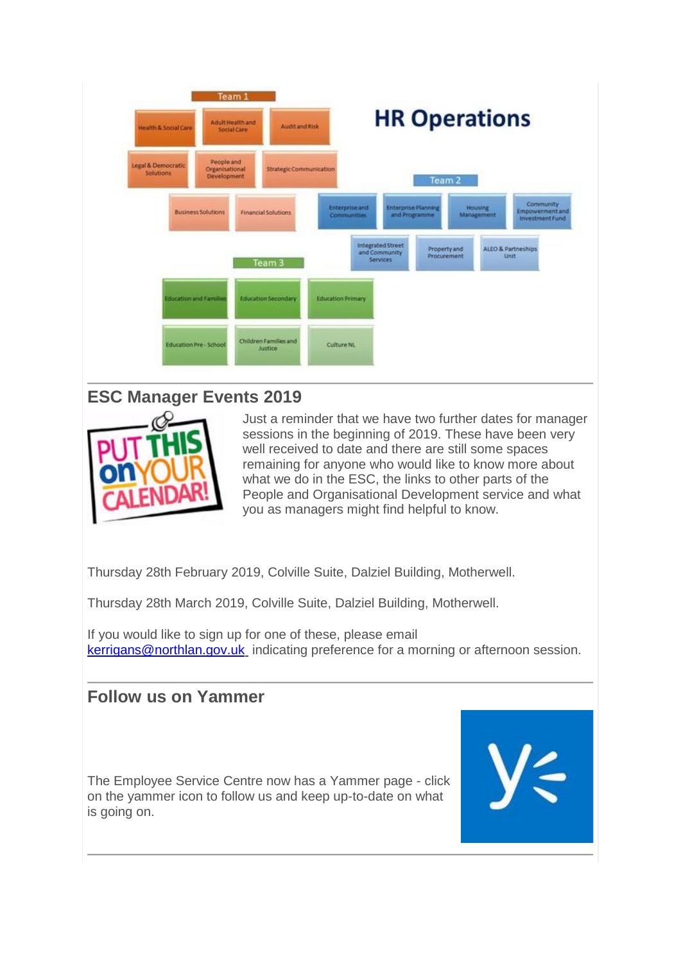

### **ESC Manager Events 2019**



Just a reminder that we have two further dates for manager sessions in the beginning of 2019. These have been very well received to date and there are still some spaces remaining for anyone who would like to know more about what we do in the ESC, the links to other parts of the People and Organisational Development service and what you as managers might find helpful to know.

Thursday 28th February 2019, Colville Suite, Dalziel Building, Motherwell.

Thursday 28th March 2019, Colville Suite, Dalziel Building, Motherwell.

If you would like to sign up for one of these, please email [kerrigans@northlan.gov.uk](mailto:kerrigans@northlan.gov.uk) indicating preference for a morning or afternoon session.

### **Follow us on Yammer**

The Employee Service Centre now has a Yammer page - click on the yammer icon to follow us and keep up-to-date on what is going on.